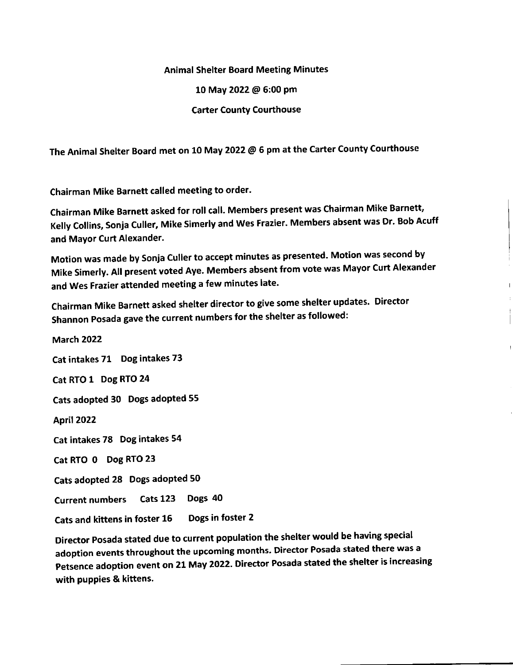## Animal Shelter Board Meeting Minutes

10 May 2022 @ 6:00 Pm

Carter County Courthouse

The Animal Shelter Board met on 10 May 2022 @ 6 pm at the Carter County Courthouse

Chairman Mike Barnett called meeting to order.

chairman Mike Barnett asked for roll call. Members present was chairman Mike Barnett, Kelly collins, sonja culler, Mike simerly and wes Frazier. Members absent was Dr. Bob Acuff and Mayor Curt Alexander.

Motion was made by Sonja Culler to accept minutes as presented. Motion was second by Mike Simerly. All present voted Aye. Members absent from vote was Mayor Curt Alexander and Wes Frazier attended meeting a few minutes late.

Chairman Mike Barnett asked shelter director to give some shelter updates. Director Shannon Posada gave the current numbers for the shelter as followed:

March 2022 Cat intakes 71 Dog intakes <sup>73</sup> Cat RTO 1 Dog RTO <sup>24</sup> Cats adopted 30 Dogs adopted 55 April 2022 Cat intakes 78 Dog intakes 54 Cat RTO 0 Dog RTO <sup>23</sup> Cats adopted 28 Dogs adopted <sup>50</sup> Current numbers Cats 123 Dogs 40 Cats and kittens in foster 15 Dogs in foster <sup>2</sup>

Director Posada stated due to current population the shelter would be having special adoption events throughout the upcoming months. Director Posada stated there was a Petsence adoption event on 21 May 2022. Director Posada stated the shelter is increasing with puppies & kittens.